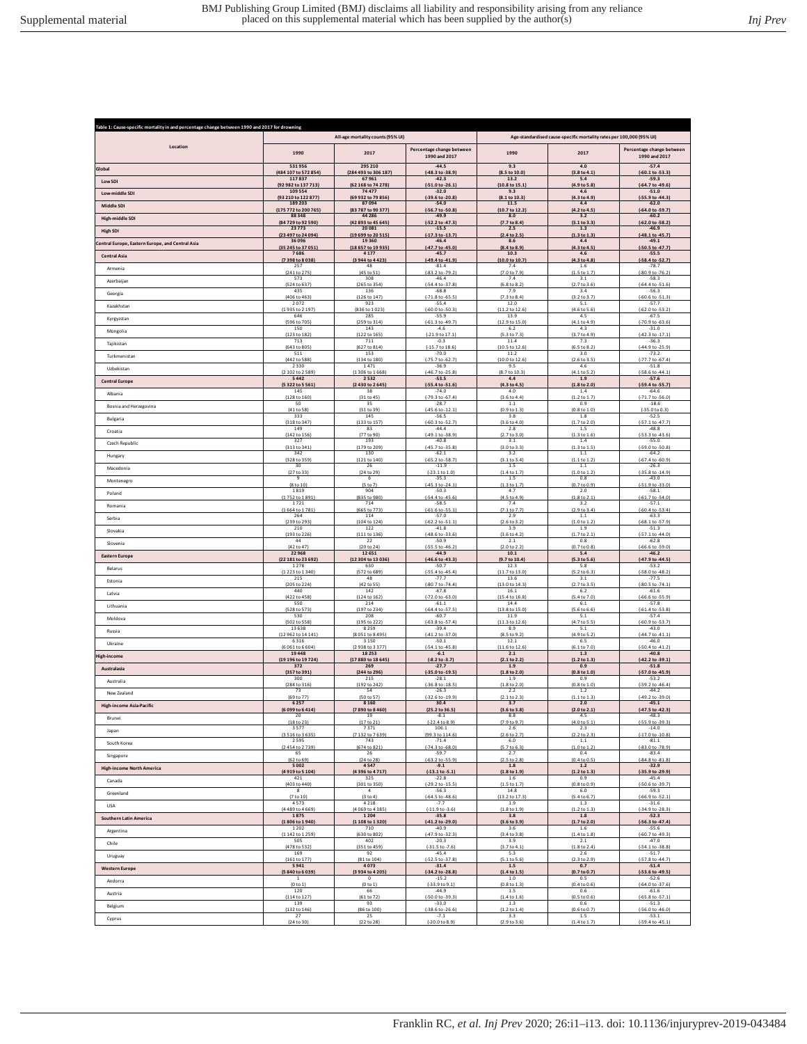| Table 1: Cause-specific mortality in and percentage change between 1990 and 2017 for drowning |                                              |                                                   |                                            |                                                                      |                                     |                                            |  |
|-----------------------------------------------------------------------------------------------|----------------------------------------------|---------------------------------------------------|--------------------------------------------|----------------------------------------------------------------------|-------------------------------------|--------------------------------------------|--|
|                                                                                               | All-age mortality counts (95% UI)            |                                                   |                                            | Age-standardised cause-specific mortality rates per 100,000 (95% UI) |                                     |                                            |  |
| Location                                                                                      | 1990                                         | 2017                                              | Percentage change between<br>1990 and 2017 | 1990                                                                 | 2017                                | Percentage change between<br>1990 and 2017 |  |
| Global                                                                                        | 531956                                       | 295 210                                           | $-44.5$                                    | 9.3                                                                  | 4.0                                 | $-57.4$                                    |  |
|                                                                                               | (484 107 to 572 854)                         | (284 493 to 306 187)                              | $(-48.3 to -38.9)$                         | (8.5 to 10.0                                                         | (3.8 to 4.1                         | $(-60.1 to -53.3)$                         |  |
| Low SDI                                                                                       | 117837                                       | 67961                                             | $-42.3$                                    | 13.2                                                                 | 5.4                                 | $-59.3$                                    |  |
|                                                                                               | (92 982 to 137 713)                          | (62 168 to 74 278)                                | $(-51.0 to -26.1)$                         | (10.8 to 15.1)                                                       | (4.9 to 5.8)                        | (-64.7 to -49.6)                           |  |
| Low-middle SDI                                                                                | 109554                                       | 74477                                             | $-32.0$                                    | 9.3                                                                  | 4.6                                 | $-51.0$                                    |  |
|                                                                                               | (93 210 to 122 877)                          | (69 932 to 79 856)                                | (-39.6 to -20.8)                           | (8.1 to 10.3)                                                        | (4.3 to 4.9)                        | (-55.9 to -44.3)                           |  |
| Middle SDI                                                                                    | 189 203                                      | 87094                                             | $-54.0$                                    | 11.5                                                                 | 4.4                                 | $-62.0$                                    |  |
|                                                                                               | (175 772 to 200 765)                         | (83 787 to 90 377)                                | (-56.7 to -50.8)                           | (10.7 to 12.2                                                        | (4.2 to 4.5)                        | (-64.0 to -59.7)                           |  |
| High-middle SDI                                                                               | 88348                                        | 44 28 6                                           | $-49.9$                                    | 8.0                                                                  | 3.2                                 | $-60.2$                                    |  |
| <b>High SDI</b>                                                                               | (84 729 to 92 590)                           | (42 893 to 45 645)                                | (-52.2 to -47.3)                           | (7.7 to 8.4)                                                         | (3.1 to 3.3)                        | (-62.0 to -58.2)                           |  |
|                                                                                               | 23 7 7 3                                     | 20081                                             | $-15.5$                                    | 2.5                                                                  | 1.3                                 | $-46.9$                                    |  |
| Central Europe, Eastern Europe, and Central Asia                                              | (23 497 to 24 094)                           | (19 699 to 20 515)                                | (-17.3 to -13.7)                           | (2.4 to 2.5)                                                         | (1.3 to 1.3)                        | (-48.1 to -45.7)                           |  |
|                                                                                               | 36 096                                       | 19360                                             | $-46.4$                                    | 8.6                                                                  | 4.4                                 | $-49.1$                                    |  |
| <b>Central Asia</b>                                                                           | (35 245 to 37 051)<br>7686<br>(7398 to 8038) | (18 857 to 19 935)<br>4 1 7 7<br>(3 944 to 4 423) | (-47.7 to -45.0)<br>$-45.7$                | (8.4 to 8.9)<br>10.3<br>(10.0 to 10.7                                | (4.3 to 4.5)<br>4.6<br>(4.3 to 4.8) | (-50.5 to -47.7)<br>$-55.5$                |  |
| Armenia                                                                                       | 257                                          | 48                                                | (-49.4 to -41.9)<br>$-81.4$                | 7.4                                                                  | 1.6                                 | (-58.4 to -52.7<br>$-78.7$                 |  |
| Azerbaijan                                                                                    | (241 to 275)                                 | (45 to 51)                                        | $(-83.2 \text{ to } -79.2)$                | (7.0 to 7.9)                                                         | (1.5 to 1.7)                        | (-80.9 to -76.2)                           |  |
|                                                                                               | 573                                          | 308                                               | $-46.4$                                    | 7.4                                                                  | 3.1                                 | $-58.3$                                    |  |
| Georgia                                                                                       | (524 to 637)<br>435<br>(406 to 463)          | (265 to 354)<br>136                               | $(-54.4 to -37.8)$<br>$-68.8$              | (6.8 to 8.2)<br>7.9                                                  | (2.7 to 3.6)<br>3.4                 | $(-64.4 to -51.6)$<br>$-56.3$              |  |
| Kazakhstan                                                                                    | 2072                                         | (126 to 147)<br>923                               | $(-71.8 to -65.5)$<br>$-55.4$              | $(7.3 \text{ to } 8.4)$<br>12.0                                      | (3.2 to 3.7)<br>5.1                 | $(-60.6 \text{ to } -51.3)$<br>$-57.7$     |  |
| Kyrgyzstan                                                                                    | (1935 to 2 197)                              | (836 to 1023)                                     | $(-60.0 to -50.3)$                         | (11.2 to 12.6)                                                       | (4.6 to 5.6)                        | $(-62.0 \text{ to } -53.2)$                |  |
|                                                                                               | 646                                          | 285                                               | $-55.9$                                    | 13.9                                                                 | 4.5                                 | $-67.5$                                    |  |
| Mongolia                                                                                      | (596 to 705)                                 | (259 to 314)                                      | $(-61.3 to -49.7)$                         | (12.9 to 15.0)                                                       | (4.1 to 4.9)                        | (-70.9 to -63.6)                           |  |
|                                                                                               | 150                                          | 143                                               | $-4.6$                                     | 6.2                                                                  | 4.3                                 | $-31.0$                                    |  |
| Tajikistan                                                                                    | (123 to 182)                                 | (122 to 165)                                      | $(-21.9 \text{ to } 17.1)$                 | (5.3 to 7.3)                                                         | (3.7 to 4.9)                        | (-42.3 to -17.1)                           |  |
|                                                                                               | 713                                          | 711                                               | $-0.3$                                     | 11.4                                                                 | 7.3                                 | $-36.3$                                    |  |
| Turkmenistan                                                                                  | (643 to 805)                                 | (627 to 814)                                      | $(-15.7 to 18.6)$                          | (10.5 to 12.6)                                                       | (6.5 to 8.2)                        | $(-44.9 to -25.9)$                         |  |
|                                                                                               | 511                                          | 153                                               | $-70.0$                                    | 11.2                                                                 | 3.0                                 | $-73.2$                                    |  |
| Uzbekistan                                                                                    | (442 to 588)                                 | (134 to 180)                                      | (-75.7 to -62.7)                           | (10.0 to 12.6)                                                       | (2.6 to 3.5)                        | (-77.7 to -67.4)                           |  |
|                                                                                               | 2330                                         | 1471                                              | $-36.9$                                    | 9.5                                                                  | 4.6                                 | $-51.8$                                    |  |
| <b>Central Europe</b>                                                                         | (2 102 to 2 589)                             | (1 306 to 1 668)                                  | $(-46.7 to -25.8)$                         | (8.7 to 10.3)                                                        | (4.1 to 5.2)                        | (-58.6 to -44.1)                           |  |
|                                                                                               | 5442                                         | 2532                                              | $-53.5$                                    | 4.4                                                                  | 1.9                                 | $-57.6$                                    |  |
| Albania                                                                                       | (5322 to 5561)                               | (2 430 to 2 645)                                  | $(-55.4 to -51.6)$                         | (4.3 to 4.5)                                                         | (1.8 to 2.0)                        | (-59.4 to -55.7)                           |  |
|                                                                                               | 145                                          | 38                                                | $-74.0$                                    | 4.0                                                                  | 1.4                                 | $-64.6$                                    |  |
| Bosnia and Herzegovina                                                                        | (128 to 160)                                 | (31 to 45)                                        | $(-79.3 to -67.4)$                         | (3.6 to 4.4)                                                         | (1.2 to 1.7)                        | $(-71.7 to -56.0)$                         |  |
|                                                                                               | 50                                           | 35                                                | $-28.7$                                    | $1.1\,$                                                              | 0.9                                 | $-18.6$                                    |  |
| Bulgaria                                                                                      | (41 to 58)                                   | (31 to 39)                                        | (-45.6 to -12.1)                           | (0.9 to 1.3)                                                         | (0.8 to 1.0)                        | $(-35.0 to 0.3)$                           |  |
|                                                                                               | 333                                          | 145                                               | $-56.5$                                    | 3.8                                                                  | 1.8                                 | $-52.5$                                    |  |
| Croatia                                                                                       | (318 to 347)                                 | (133 to 157)                                      | $(-60.3 to -52.7)$                         | (3.6 to 4.0)                                                         | (1.7 to 2.0)                        | $(-57.1$ to $-47.7)$                       |  |
|                                                                                               | 149                                          | 83                                                | $-44.4$                                    | 2.8                                                                  | 1.5                                 | $-48.8$                                    |  |
| Czech Republic                                                                                | (142 to 156)                                 | (77 to 90)                                        | $(-49.1 to -38.9)$                         | (2.7 to 3.0)                                                         | (1.3 to 1.6)                        | $(-53.3 to -43.6)$                         |  |
|                                                                                               | 327                                          | 193                                               | $-40.8$                                    | 3.1                                                                  | 1.4                                 | $-55.0$                                    |  |
| Hungary                                                                                       | (313 to 341)                                 | (179 to 209)                                      | (-45.7 to -35.8)                           | (3.0 to 3.3)                                                         | (1.3 to 1.5)                        | $( -59.0 \text{ to } -50.8 )$              |  |
|                                                                                               | 342                                          | 130                                               | $-62.1$                                    | 3.2                                                                  | 1.1                                 | $-64.2$                                    |  |
| Macedonia                                                                                     | (328 to 359)                                 | (121 to 140)                                      | $(-65.2 to -58.7)$                         | [3.1 to 3.4]                                                         | (1.1 to 1.2)                        | $(-67.4 to -60.9)$                         |  |
|                                                                                               | 30                                           | 26                                                | $-11.9$                                    | 1.5                                                                  | 1.1                                 | $-26.3$                                    |  |
| Montenegro                                                                                    | (27 to 33)                                   | (24 to 29)                                        | $(-23.1 to 1.0)$                           | (1.4 to 1.7)                                                         | (1.0 to 1.2)                        | $(-35.8 \text{ to } -14.9)$                |  |
|                                                                                               | 9                                            | 6                                                 | $-35.3$                                    | 1.5                                                                  | 0.8                                 | $-43.0$                                    |  |
| Poland                                                                                        | (8 to 10)                                    | (5 to 7)                                          | $(-45.3 to -24.1)$                         | (1.3 to 1.7)                                                         | (0.7 to 0.9)                        | $(-51.9 to -33.0)$                         |  |
|                                                                                               | 1819                                         | 904                                               | $-50.3$                                    | 4.7                                                                  | 2.0                                 | $-58.1$                                    |  |
| Romania                                                                                       | (1752 to 1891)                               | (835 to 980)                                      | $(-54.4 \text{ to } -45.6)$                | (4.5 to 4.9)                                                         | (1.8 to 2.1)                        | $(-61.7 to -54.0)$                         |  |
|                                                                                               | 1721                                         | 714                                               | $-58.5$                                    | 7.4                                                                  | 3.2                                 | $-57.1$                                    |  |
| Serbia                                                                                        | (1664 to 1781)                               | (665 to 773                                       | $(-61.6 \text{ to } -55.1)$                | (7.1 to 7.7)                                                         | (2.9 to 3.4)                        | (-60.4 to -53.4)                           |  |
|                                                                                               | 264                                          | 114                                               | $-57.0$                                    | 2.9                                                                  | 1.1                                 | $-63.3$                                    |  |
| Slovakia                                                                                      | (239 to 293)                                 | (104 to 124)                                      | $(-62.2 \text{ to } -51.1)$                | (2.6 to 3.2)                                                         | (1.0 to 1.2)                        | (-68.1 to -57.9)                           |  |
|                                                                                               | 210                                          | 122                                               | $-41.8$                                    | 3.9                                                                  | 1.9                                 | $-51.3$                                    |  |
| Slovenia                                                                                      | (193 to 226)                                 | (111 to 136)                                      | $(-48.6 \text{ to } -33.6)$                | (3.6 to 4.2)                                                         | (1.7 to 2.1)                        | $(-57.1$ to $-44.0$ ]                      |  |
|                                                                                               | 44                                           | 22                                                | $-50.9$                                    | 2.1                                                                  | 0.8                                 | $-62.8$                                    |  |
|                                                                                               | (42 to 47)                                   | (20 to 24)                                        | $(-55.5 \text{ to } -46.2)$                | (2.0 to 2.2)                                                         | (0.7 to 0.8)                        | $(-66.6 \text{ to } -59.0)$                |  |
|                                                                                               | 22 968                                       | 12651                                             | $-44.9$                                    | 10.1                                                                 | 5.4                                 | $-46.2$                                    |  |
| <b>Eastern Europe</b>                                                                         | (22 181 to 23 692)                           | (12 304 to 13 036)                                | (-46.6 to -43.3)                           | (9.7 to 10.4                                                         | (5.3 to 5.6)                        | (-47.9 to -44.5                            |  |
| Belarus                                                                                       | 1278                                         | 630                                               | $-50.7$                                    | 12.3                                                                 | 5.8                                 | $-53.2$                                    |  |
| Estonia                                                                                       | (1223 to 1340)                               | (572 to 689)                                      | $(-55.4 to -45.4)$                         | (11.7 to 13.0)                                                       | (5.2 to 6.3)                        | (-58.0 to -48.2)                           |  |
|                                                                                               | 215                                          | 48                                                | $-77.7$                                    | 13.6                                                                 | 3.1                                 | $-77.5$                                    |  |
|                                                                                               | (205 to 224)                                 | (42 to 55)                                        | $(-80.7 to -74.4)$                         | (13.0 to 14.3)                                                       | (2.7 to 3.5)                        | (-80.5 to -74.1)                           |  |
|                                                                                               | 440                                          | 142                                               | $-67.8$                                    | 16.1                                                                 | 6.2                                 | $-61.6$                                    |  |
| Latvia                                                                                        | (422 to 458)                                 | (124 to 162)                                      | (-72.0 to -63.0)                           | (15.4 to 16.8)                                                       | (5.4 to 7.0)                        | $(-66.6 \text{ to } -55.9)$                |  |
|                                                                                               | 550                                          | 214                                               | $-61.1$                                    | 14.4                                                                 | 6.1                                 | $-57.8$                                    |  |
| Lithuania                                                                                     | (528 to 573)                                 | (197 to 234)                                      | (-64.4 to -57.5)                           | (13.8 to 15.0)                                                       | (5.6 to 6.6)                        | $(-61.4 to -53.8)$                         |  |
|                                                                                               | 530                                          | 208                                               | $-60.7$                                    | 11.9                                                                 | 5.1                                 | $-57.4$                                    |  |
| Moldova                                                                                       | (502 to 558)                                 | (195 to 222)                                      | $(-63.8 to -57.4)$                         | (11.3 to 12.6)                                                       | (4.7 to 5.5)                        | (-60.9 to -53.7)                           |  |
|                                                                                               | 13 6 38                                      | 8 2 5 9                                           | $-39.4$                                    | 8.9                                                                  | 5.1                                 | $-43.0$                                    |  |
| Russia                                                                                        | (12 962 to 14 141)                           | (8051 to 8495)                                    | $(-41.2 to -37.0)$                         | (8.5 to 9.2)                                                         | (4.9 to 5.2)                        | $(-44.7 to -41.1)$                         |  |
| Ukraine                                                                                       | 6316                                         | 3 1 5 0                                           | $-50.1$                                    | 12.1                                                                 | 6.5                                 | $-46.0$                                    |  |
| ligh-income                                                                                   | (6061 to 6 604)                              | (2938 to 3377)                                    | $[-54.1 \text{ to } -45.8]$                | (11.6 to 12.6)                                                       | (6.1 to 7.0)                        | $(-50.4 \text{ to } -41.2)$                |  |
|                                                                                               | 19448                                        | 18253                                             | $-6.1$                                     | 2.1                                                                  | 1.3                                 | $-40.8$                                    |  |
|                                                                                               | (19 196 to 19 724)                           | (17 880 to 18 645)                                | $(-8.2 to -3.7)$                           | (2.1 to 2.2)                                                         | (1.2 to 1.3)                        | (-42.2 to -39.1)                           |  |
|                                                                                               | 372                                          | 269                                               | $-27.7$                                    | 1.9                                                                  | 0.9                                 | $-51.8$                                    |  |
| Australasia                                                                                   | (357 to 391)                                 | (244 to 296)                                      | (-35.0 to -19.5)                           | (1.8 to 2.0)                                                         | (0.8 to 1.0)                        | (-57.0 to -45.9)                           |  |
| Australia                                                                                     | 300                                          | 215                                               | $-28.1$                                    | 1.9                                                                  | 0.9                                 | $-53.2$                                    |  |
|                                                                                               | (284 to 316)                                 | (192 to 242                                       | $1-36.8$ to $-18.5$                        | (1.8 to 2.0)                                                         | (0.8 to 1.0)                        | (-59.2 to -46.4                            |  |
|                                                                                               | 73                                           | 54                                                | $-26.3$                                    | 2.2                                                                  | 1.2                                 | $-44.2$                                    |  |
| New Zealand                                                                                   | (69 to 77)                                   | (50 to 57)                                        | $(-32.6 \text{ to } -19.9)$                | (2.1 to 2.3)                                                         | (1.1 to 1.3)                        | $(-49.2 to -39.0)$                         |  |
|                                                                                               | 6257                                         | 8 1 6 0                                           | 30.4                                       | 3.7                                                                  | 2.0                                 | $-45.1$                                    |  |
| High-income Asia-Pacific                                                                      | 99 to 64                                     | 0 to 84                                           | 2 to 36                                    | .6 to 3.1                                                            | .0 to 2.1                           | 5 to -42                                   |  |
|                                                                                               | 20                                           | 19                                                | $-8.1$                                     | 8.8                                                                  | 4.5                                 | $-48.3$                                    |  |
| Brunei                                                                                        | (18 to 23)                                   | (17 to 21)                                        | $(-22.4 \text{ to } 8.9)$                  | (7.9 to 9.7)                                                         | (4.0 to 5.1)                        | $(-55.9 to -39.3)$                         |  |
|                                                                                               | 3577                                         | 7371                                              | 106.1                                      | 2.6                                                                  | 2.3                                 | $-14.0$                                    |  |
| Japan                                                                                         | (3516 to 3635)                               | (7 132 to 7 639)                                  | (99.3 to 114.6)                            | (2.6 to 2.7)                                                         | (2.2 to 2.3)                        | $(-17.0 to -10.8)$                         |  |
|                                                                                               | 2595                                         | 743                                               | $-71.4$                                    | 6.0                                                                  | 1.1                                 | $-81.1$                                    |  |
| South Korea                                                                                   | (2454 to 2739)                               | (674 to 821)                                      | $(-74.3 to -68.0)$                         | (5.7 to 6.3)                                                         | (1.0 to 1.2)                        | (-83.0 to -78.9)                           |  |
|                                                                                               | 65                                           | 26                                                | $-59.7$                                    | 2.7                                                                  | 0.4                                 | $-83.4$                                    |  |
| Singapore                                                                                     | (62 to 69)                                   | (24 to 28)                                        | $(-63.2 \text{ to } -55.9)$                | (2.5 to 2.8)                                                         | (0.4 to 0.5)                        | $(-84.8 \text{ to } -81.8)$                |  |
|                                                                                               | 5002                                         | 4547                                              | $-9.1$                                     | 1.8                                                                  | 1.2                                 | $-32.9$                                    |  |
| <b>High-income North America</b>                                                              | (4919 to 5104)                               | (4396 to 4717)                                    | $(-13.1 to -5.1)$                          | (1.8 to 1.9)                                                         | (1.2 to 1.3)                        | $(-35.9 to -29.9)$                         |  |
|                                                                                               | 421                                          | 325                                               | $-22.8$                                    | 1.6                                                                  | 0.9                                 | $-45.4$                                    |  |
| Canada                                                                                        | (403 to 440)                                 | (301 to 350)                                      | $(-29.2 \text{ to } -15.5)$                | (1.5 to 1.7)                                                         | (0.8 to 0.9)                        | $(-50.6 \text{ to } -39.7)$                |  |
|                                                                                               | 8                                            | $\sqrt{4}$                                        | $-56.3$                                    | 14.8                                                                 | 6.0                                 | $-59.3$                                    |  |
| Greenland                                                                                     | (7 to 10)                                    | (3 to 4)                                          | $(-64.5 to -48.6)$                         | (13.2 to 17.3)                                                       | (5.4 to 6.7)                        | (-66.9 to -52.1                            |  |
|                                                                                               | 4573                                         | 4218                                              | $-7.7$                                     | 1.9                                                                  | 1.3                                 | $-31.6$                                    |  |
| USA                                                                                           | (4489 to 4669)                               | (4 069 to 4 385)                                  | $(-11.9 to -3.6)$                          | (1.8 to 1.9)                                                         | (1.2 to 1.3)                        | $(-34.9 to -28.3)$                         |  |
|                                                                                               | 1875                                         | 1 2 0 4                                           | $-35.8$                                    | 3.8                                                                  | $1.8\,$                             | $-52.3$                                    |  |
| Southern Latin America                                                                        | (1806 to 1940)                               | (1 108 to 1 320)                                  | (-41.2 to -29.0)                           | (3.6 to 3.9)                                                         | (1.7 to 2.0)                        | $(-56.3 \text{ to } -47.4)$                |  |
|                                                                                               | 1202                                         | 710                                               | $-40.9$                                    | 3.6                                                                  | $1.6\,$                             | $-55.6$                                    |  |
| Argentina                                                                                     | (1 142 to 1 259)                             | (630 to 802)                                      | $(-47.9 to -32.3)$                         | (3.4 to 3.8)                                                         | (1.4 to 1.8)                        | $(-60.7 to -49.3)$                         |  |
|                                                                                               | 505                                          | 402                                               | $-20.3$                                    | 3.9                                                                  | 2.1                                 | $-47.0$                                    |  |
| Chile                                                                                         | (478 to 532)                                 | (351 to 459)                                      | $(-31.5 to -7.6)$                          | (3.7 to 4.1)                                                         | (1.8 to 2.4)                        | $(-54.1 to -38.8)$                         |  |
|                                                                                               | 169                                          | 92                                                | $-45.4$                                    | 5.3                                                                  | 2.6                                 | $-51.7$                                    |  |
| Uruguay                                                                                       | (161 to 177)                                 | (81 to 104)                                       | $(-52.5 \text{ to } -37.8)$                | (5.1 to 5.6)                                                         | (2.3 to 2.9)                        | $(-57.8 \text{ to } -44.7)$                |  |
|                                                                                               | 5941                                         | 4073                                              | $-31.4$                                    | 1.5                                                                  | 0.7                                 | $-51.4$                                    |  |
| <b>Western Europe</b>                                                                         | (5 840 to 6 039)                             | (3 934 to 4 205)                                  | (-34.2 to -28.8)                           | (1.4 to 1.5)                                                         | (0.7 to 0.7)                        | (-53.6 to -49.5)                           |  |
|                                                                                               | $\mathbf{1}$                                 | 0                                                 | $-15.2$                                    | 1.0                                                                  | 0.5                                 | $-52.6$                                    |  |
| Andorra                                                                                       | (0 to 1)                                     | (0 to 1)                                          | $(-33.9 to 9.1)$                           | (0.8 to 1.3)                                                         | (0.4 to 0.6)                        | $(-64.0 to -37.6)$                         |  |
|                                                                                               | 120                                          | 66                                                | $-44.9$                                    | 1.5                                                                  | 0.6                                 | $-61.6$                                    |  |
| Austria                                                                                       | (114 to 127)                                 | (61 to 72)                                        | $(-50.0 to -39.3)$                         | (1.4 to 1.6)                                                         | (0.5 to 0.6)                        | $(-65.8 to -57.1)$                         |  |
|                                                                                               | 139                                          | 93                                                | $-33.0$                                    | 1.3                                                                  | 0.6                                 | $-51.3$                                    |  |
| Belgium                                                                                       | (132 to 146)                                 | (86 to 100)                                       | $[-38.6 \text{ to } -26.6]$                | (1.2 to 1.4)                                                         | (0.6 to 0.7)                        | $(-56.0 to -46.0)$                         |  |
|                                                                                               | 27                                           | 25                                                | $-7.1$                                     | 3.3                                                                  | 1.5                                 | $-53.1$                                    |  |
| Cyprus                                                                                        | (24 to 30)                                   | (22 to 28)                                        | $(-20.0 to 8.9)$                           | (2.9 to 3.6)                                                         | (1.4 to 1.7)                        | $(-59.4 \text{ to } -45.1)$                |  |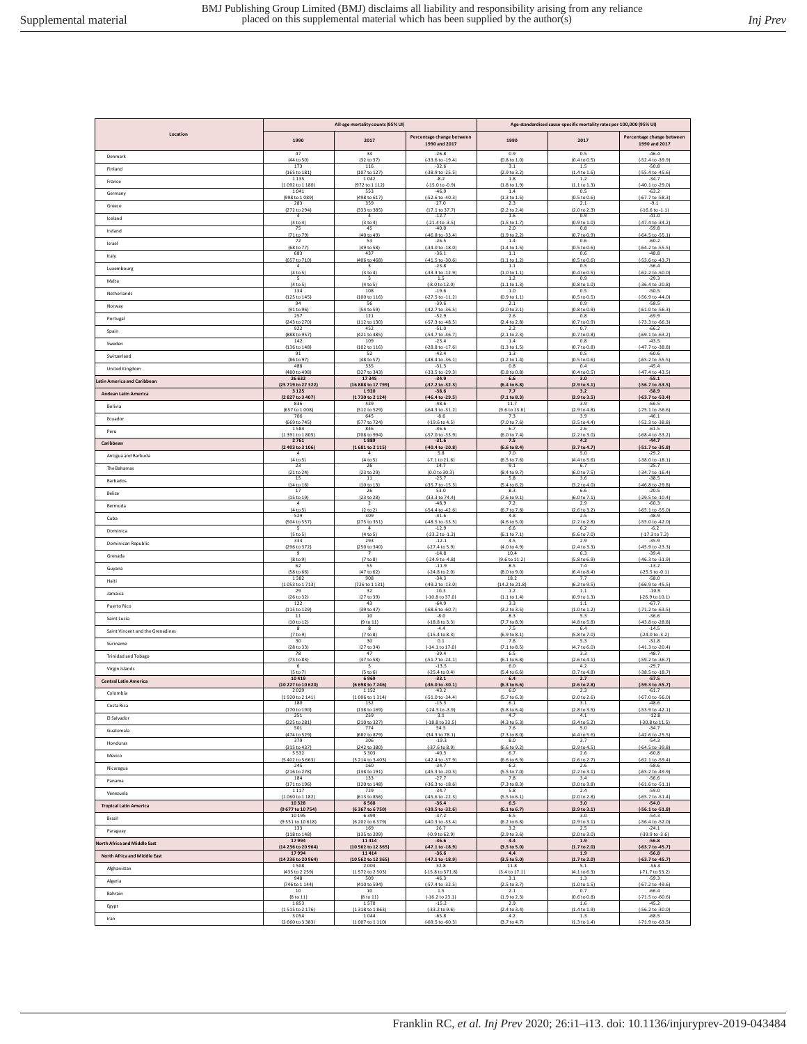|                                  | All-age mortality counts (95% UI) |                          |                                                   | Age-standardised cause-specific mortality rates per 100,000 (95% UI) |                                     |                                            |  |
|----------------------------------|-----------------------------------|--------------------------|---------------------------------------------------|----------------------------------------------------------------------|-------------------------------------|--------------------------------------------|--|
| Location                         | 1990                              | 2017                     | Percentage change between<br>1990 and 2017        | 1990                                                                 | 2017                                | Percentage change between<br>1990 and 2017 |  |
| Denmark                          | 47                                | 34                       | $-26.8$                                           | 0.9                                                                  | 0.5                                 | $-46.4$                                    |  |
|                                  | (44 to 50)                        | (32 to 37)               | $[-33.6 \text{ to } -19.4]$                       | $(0.8 \text{ to } 1.0)$                                              | (0.4 to 0.5)                        | (-52.4 to -39.9)                           |  |
| Finland                          | 173                               | 116                      | $-32.6$                                           | 3.1                                                                  | 1.5                                 | $-50.8$                                    |  |
|                                  | (165 to 181                       | (107 to 127              | $(-38.9 to -25.5)$                                | (2.9 to 3.2)                                                         | (1.4 to 1.6)                        | $(-55.4 \text{ to } -45.6)$                |  |
| France                           | 1135                              | 1042                     | $-8.2$                                            | 1.8                                                                  | 1.2                                 | $-34.7$                                    |  |
|                                  | (1092 to 1 180)                   | (972 to 1 112)           | $(-15.0 to -0.9)$                                 | (1.8 to 1.9)                                                         | (1.1 to 1.3)                        | $(-40.1 to -29.0)$                         |  |
| Germany                          | 1041                              | 553                      | $-46.9$                                           | 1.4                                                                  | 0.5                                 | $-63.2$                                    |  |
|                                  | (998 to 1089)                     | (498 to 617)             | (-52.6 to -40.3)                                  | (1.3 to 1.5)                                                         | (0.5 to 0.6)                        | (-67.7 to -58.3)                           |  |
| Greece                           | 283<br>(272 to 294)               | 359                      | 27.0<br>(17.1 to 37.7)                            | 2.3<br>(2.2 to 2.4)                                                  | 2.1<br>(2.0 to 2.3)                 | $-9.1$<br>$(-16.6 \text{ to } -1.1)$       |  |
| Iceland                          | $\bf{4}$                          | (333 to 385)<br>$\bf{4}$ | $-12.7$                                           | $1.6\,$                                                              | 0.9                                 | $-41.0$                                    |  |
| Ireland                          | (4 to 4)                          | (3 to 4)                 | $[-21.4 \text{ to } -3.5]$                        | (1.5 to 1.7)                                                         | (0.9 to 1.0)                        | (-47.4 to -34.2)                           |  |
|                                  | 75                                | 45                       | $-40.0$                                           | 2.0                                                                  | 0.8                                 | $-59.8$                                    |  |
| Israel                           | (71 to 79)                        | (40 to 49)               | (-46.8 to -33.4)                                  | (1.9 to 2.2)                                                         | (0.7 to 0.9)                        | (-64.5 to -55.1)                           |  |
|                                  | 72                                | 53                       | $-26.5$                                           | 1.4                                                                  | 0.6                                 | $-60.2$                                    |  |
| Italy                            | (68 to 77)                        | (49 to 58)               | $(-34.0 to -18.0)$                                | (1.4 to 1.5)                                                         | (0.5 to 0.6)                        | $(-64.2 \text{ to } -55.5)$                |  |
|                                  | 683                               | 437                      | $-36.1$                                           | 1.1                                                                  | 0.6                                 | $-48.8$                                    |  |
| Luxembourg                       | (657 to 710)                      | (406 to 468)             | $(-41.5 to -30.6)$                                | (1.1 to 1.2)                                                         | (0.5 to 0.6)                        | $(-53.6 \text{ to } -43.7)$                |  |
|                                  | $\bf{4}$                          | $\mathbf 3$              | $-23.8$                                           | 1.1                                                                  | 0.5                                 | $-56.4$                                    |  |
| Malta                            | [4 to 5]                          | (3 to 4)                 | $(-33.3 to -12.9)$                                | $(1.0 \text{ to } 1.1)$                                              | (0.4 to 0.5)                        | (-62.2 to -50.0)                           |  |
|                                  | 5                                 | 5                        | 1.5                                               | 1.2                                                                  | 0.9                                 | $-29.3$                                    |  |
| Netherlands                      | (4 to 5)                          | (4 to 5)                 | $(-8.0 to 12.0)$                                  | (1.1 to 1.3)                                                         | (0.8 to 1.0)                        | $(-36.4 to -20.8)$                         |  |
|                                  | 134                               | 108                      | $-19.6$                                           | 1.0                                                                  | 0.5                                 | $-50.5$                                    |  |
|                                  | (125 to 145)                      | (100 to 116)             | $(-27.5 to -11.2)$                                | (0.9 to 1.1)                                                         | (0.5 to 0.5)                        | (-56.9 to -44.0)                           |  |
|                                  | 94                                | 56                       | $-39.6$                                           | 2.1                                                                  | 0.9                                 | $-58.5$                                    |  |
| Norway                           | (91 to 96)                        | (54 to 59)               | (-42.7 to -36.5)                                  | (2.0 to 2.1)                                                         | (0.8 to 0.9)                        | (-61.0 to -56.3)                           |  |
|                                  | 257                               | 121                      | $-52.9$                                           | 2.6                                                                  | 0.8                                 | $-69.9$                                    |  |
| Portugal                         | (243 to 270)                      | (112 to 130)             | $(-57.3 to -48.5)$                                | (2.4 to 2.8)                                                         | (0.7 to 0.9)                        | $(-73.3 to -66.3)$                         |  |
|                                  | 922                               | 452                      | $-51.0$                                           | 2.2                                                                  | 0.7                                 | $-66.2$                                    |  |
| Spain                            | (888 to 957                       | (421 to 485)             | $(-54.7 to -46.7)$                                | [2.1 to 2.3]                                                         | (0.7 to 0.8                         | $(-69.1 to -63.2)$                         |  |
|                                  | 142                               | 109                      | $-23.4$                                           | 1.4                                                                  | 0.8                                 | $-43.5$                                    |  |
| Sweden                           | (136 to 148                       | (102 to 116)             | $(-28.8 to -17.6)$<br>$-42.4$                     | (1.3 to 1.5)                                                         | (0.7 to 0.8)<br>0.5                 | (-47.7 to -38.8)<br>$-60.6$                |  |
| Switzerland                      | 91<br>(86 to 97)                  | 52<br>(48 to 57)         | $[-48.4 \text{ to } -36.1]$                       | 1.3<br>(1.2 to 1.4)                                                  | (0.5 to 0.6)                        | $(-65.2 \text{ to } -55.5)$                |  |
| United Kingdom                   | 488                               | 335                      | $-31.3$                                           | 0.8                                                                  | 0.4                                 | $-45.4$                                    |  |
|                                  | (480 to 498)                      | (327 to 343)             | $[-33.5 \text{ to } -29.3]$                       | (0.8 to 0.8)                                                         | (0.4 to 0.5)                        | $(-47.4 \text{ to } -43.5)$                |  |
| atin America and Caribbean       | 26 632                            | 17345                    | $-34.9$                                           | 6.6                                                                  | 3.0                                 | $-55.1$                                    |  |
|                                  | (25 719 to 27 322)                | (16 888 to 17 799)       | (-37.2 to -32.3)                                  | (6.4 to 6.8)                                                         | (2.9 to 3.1)                        | (-56.7 to -53.5)                           |  |
| <b>Andean Latin America</b>      | 3 1 2 5                           | 1920                     | $-38.6$                                           | 7.7                                                                  | 3.2                                 | $-58.9$                                    |  |
|                                  | (2827 to 3407)                    | (1730 to 2124)           | (-46.4 to -29.5)                                  | (7.1 to 8.3)                                                         | $(2.9 \text{ to } 3.5)$             | (-63.7 to -53.4                            |  |
| Bolivia                          | 836                               | 429                      | $-48.6$                                           | 11.7                                                                 | 3.9                                 | $-66.5$                                    |  |
|                                  | (657 to 1008)                     | (312 to 529)             | $(-64.3 to -31.2)$                                | (9.6 to 13.6)                                                        | (2.9 to 4.8)                        | $(-75.1 to -56.6)$                         |  |
| Ecuador                          | 706                               | 645                      | $-8.6$                                            | 7.3                                                                  | 3.9                                 | $-46.1$                                    |  |
|                                  | (669 to 745)                      | (577 to 724)             | $(-19.6 \text{ to } 4.5)$                         | (7.0 to 7.6)                                                         | (3.5 to 4.4)                        | (-52.3 to -38.8)                           |  |
| Peru                             | 1584                              | 846                      | $-46.6$                                           | 6.7                                                                  | 2.6                                 | $-61.5$                                    |  |
|                                  | (1391 to 1805)                    | (708 to 994)             | (-57.0 to -33.9)                                  | (6.0 to 7.4)                                                         | (2.2 to 3.0)                        | (-68.4 to -53.2)                           |  |
| Caribbean                        | 2761                              | 1889                     | $-31.6$                                           | 7.5                                                                  | 4.2                                 | $-44.7$                                    |  |
| Antigua and Barbuda              | (2403 to 3106)                    | (1681 to 2115)           | $(-40.4 to -20.8)$                                | (6.6 to 8.4)                                                         | (3.7 to 4.7)                        | $(-51.7 to -35.8)$                         |  |
|                                  | $\ddot{\bf 4}$                    | $\ddot{\bf 4}$           | 5.8                                               | 7.0                                                                  | 5.0                                 | $-29.2$                                    |  |
|                                  | (4 to 5)                          | (4 to 5)                 | $(-7.1 to 21.6)$                                  | (6.5 to 7.6)                                                         | (4.4 to 5.6)                        | $(-38.0 \text{ to } -18.1)$                |  |
| The Bahamas                      | 23<br>(21 to 24)                  | 26<br>(23 to 29)         | 14.7<br>(0.0 to 30.3)                             | 9.1<br>(8.4 to 9.7)                                                  | 6.7                                 | $-25.7$<br>$(-34.7)$ to $-16.4$ ]          |  |
| Barbados                         | 15                                | 11                       | $-25.7$                                           | 5.8                                                                  | (6.0 to 7.5)<br>3.6                 | $-38.5$                                    |  |
| Belize                           | (14 to 16)                        | (10 to 13)               | $(-35.7 to -15.3)$                                | (5.4 to 6.2)                                                         | (3.2 to 4.0)                        | $(-46.8 to -29.8)$                         |  |
|                                  | $17\,$                            | 26                       | 53.0                                              | 8.3                                                                  | 6.6                                 | $-20.5$                                    |  |
| Bermuda                          | (15 to 19)                        | (23 to 28)               | (33.3 to 74.4)                                    | (7.6 to 9.1)                                                         | (6.0 to 7.1                         | $(-29.5 \text{ to } -10.4)$                |  |
|                                  | $\sqrt{4}$                        | $\overline{2}$           | $-48.9$                                           | 7.2                                                                  | 2.9                                 | $-60.3$                                    |  |
| Cuba                             | (4 to 5)                          | (2 to 2)                 | (-54.4 to -42.6)                                  | (6.7 to 7.8)                                                         | (2.6 to 3.2)                        | $(-65.1 to -55.0)$                         |  |
|                                  | 529                               | 309                      | $-41.6$                                           | 4.8                                                                  | 2.5                                 | $-48.9$                                    |  |
| Dominica                         | (504 to 557)                      | (275 to 351)             | $(-48.5 to -33.5)$                                | (4.6 to 5.0)                                                         | (2.2 to 2.8)                        | (-55.0 to -42.0)                           |  |
|                                  | 5                                 | $\Delta$                 | $-12.9$                                           | 6.6                                                                  | 6.2                                 | $-6.2$                                     |  |
| Dominican Republic               | (5 to 5)                          | (4 to 5)                 | $(-23.2 \text{ to } -1.2)$                        | (6.1 to 7.1)                                                         | (5.6 to 7.0)                        | $(-17.3 \text{ to } 7.2)$                  |  |
|                                  | 333                               | 293                      | $-12.1$                                           | 4.5                                                                  | 2.9                                 | $-35.9$                                    |  |
| Grenada                          | (296 to 372)                      | (250 to 340)             | $[-27.4 \text{ to } 5.9]$                         | (4.0 to 4.9)                                                         | (2.4 to 3.3)                        | (-45.9 to -23.3)                           |  |
|                                  | -9                                | $\overline{7}$           | $-14.8$                                           | 10.4                                                                 | 6.3                                 | $-39.4$                                    |  |
|                                  | (8 to 9)                          | (7 to 8)                 | $(-24.9 to -4.8)$                                 | (9.6 to 11.2)                                                        | (5.8 to 6.9)                        | $(-46.3 to -31.9)$                         |  |
|                                  | 62                                | 55                       | $-11.9$                                           | 8.5                                                                  | 7.4                                 | $-13.2$                                    |  |
| Guyana                           | (58 to 66                         | (47 to 62)               | $[-24.8 \text{ to } 2.0]$                         | (8.0 to 9.0)                                                         | (6.4 to 8.4)                        | $(-25.5 \text{ to } -0.1)$                 |  |
|                                  | 1382                              | 908                      | $-34.3$                                           | 18.2                                                                 | 7.7                                 | $-58.0$                                    |  |
| Haiti                            | (1053 to 171)                     | (726 to 1 131            | $(-49.2$ to $-13.0$                               | (14.2 to 21.8)                                                       | (6.2 to 9.5)                        | (-66.9 to -45.5)                           |  |
|                                  | 29                                | 32                       | 10.3                                              | 1.2                                                                  | 1.1                                 | $-10.9$                                    |  |
| Jamaica                          | (26 to 32                         | (27 to 39)               | (-10.8 to 37.0)                                   | (1.1 to 1.4)                                                         | (0.9 to 1.3                         | (-26.9 to 10.1                             |  |
|                                  | 122                               | 43                       | $-64.9$                                           | 3.3                                                                  | 1.1                                 | $-67.7$                                    |  |
| Puerto Rico                      | (115 to 129)<br>11                | (39 to 47)<br>10         | $(-68.6 \text{ to } -60.7)$<br>$-8.0$             | (3.2 to 3.5)<br>8.3                                                  | (1.0 to 1.2)                        | (-71.2 to -63.5)                           |  |
| Saint Lucia                      | (10 to 12)                        | (9 to 11)                | $(-18.8 to 3.3)$                                  | (7.7 to 8.9)                                                         | 5.3<br>(4.8 to 5.8)                 | $-36.6$<br>$(-43.8 to -28.8)$              |  |
| Saint Vincent and the Grenadines | 8                                 | 8                        | $-4.4$                                            | 7.5                                                                  | 6.4                                 | $-14.5$                                    |  |
|                                  | (7 to 9)                          | (7 to 8)                 | $(-15.4 \text{ to } 8.3)$                         | (6.9 to 8.1                                                          | (5.8 to 7.0)                        | $(-24.0 \text{ to } -3.2)$                 |  |
| Suriname                         | 30                                | 30                       | 0.1                                               | 7.8                                                                  | 5.3                                 | $-31.8$                                    |  |
|                                  | (28 to 33)                        | (27 to 34)               | $(-14.1 to 17.0)$                                 | (7.1 to 8.5)                                                         | (4.7 to 6.0)                        | $(-41.3 to -20.4)$                         |  |
| <b>Trinidad and Tobago</b>       | 78                                | 47                       | $-39.4$                                           | 6.5                                                                  | 3.3                                 | $-48.7$                                    |  |
|                                  | (73 to 83)                        | (37 to 58)               | $(-51.7 to -24.1)$                                | (6.1 to 6.8)                                                         | (2.6 to 4.1)                        | (-59.2 to -36.7)                           |  |
| Virgin Islands                   | 6                                 | -5                       | $-13.5$                                           | 6.0                                                                  | 4.2                                 | $-29.7$                                    |  |
|                                  | (5 to 7)                          | (5 to 6)                 | $(-25.4 \text{ to } 0.4)$                         | (5.4 to 6.6)                                                         | (3.7 to 4.8)                        | $(-38.5$ to $-18.7)$                       |  |
| <b>Central Latin America</b>     | 10419                             | 6969                     | $-33.1$                                           | 6.4                                                                  | 2.7                                 | $-57.5$                                    |  |
|                                  | (10 227 to 10 620)                | (6 698 to 7 246)         | (-36.0 to -30.1)                                  | (6.3 to 6.6)                                                         | (2.6 to 2.8)                        | (-59.3 to -55.7)                           |  |
| Colombia                         | 2029                              | 1152                     | $-43.2$                                           | 6.0                                                                  | 2.3                                 | $-61.7$                                    |  |
|                                  | (1920 to 2 141)                   | (1006 to 1314)           | $(-51.0 to -34.4)$                                | (5.7 to 6.3)                                                         | (2.0 to 2.6)                        | $(-67.0 to -56.0)$                         |  |
|                                  | 180                               | 152                      | $-15.3$                                           | 6.1                                                                  | 3.1                                 | $-48.6$                                    |  |
|                                  | (170 to 190)                      | (138 to 169)             | $(-24.5 \text{ to } -3.9)$                        | (5.8 to 6.4)                                                         | (2.8 to 3.5)                        | $(-53.9$ to $-42.1)$                       |  |
| El Salvador                      | 251                               | 259                      | 3.1                                               | 4.7                                                                  | 4.1                                 | $-12.8$                                    |  |
|                                  | (225 to 281)                      | (210 to 327)             | $(-18.8 to 33.5)$                                 | (4.3 to 5.3)                                                         | (3.4 to 5.2)                        | $(-30.8 \text{ to } 11.5)$                 |  |
| Guatemala                        | 501                               | 774                      | 54.5                                              | 7.6                                                                  | 5.0                                 | $-34.7$                                    |  |
|                                  | (474 to 529)                      | (682 to 879)             | (34.3 to 78.1)                                    | (7.3 to 8.0)                                                         | (4.4 to 5.6)                        | $(-42.6 \text{ to } -25.5)$                |  |
| Honduras                         | 379                               | 306                      | $-19.3$                                           | 8.0                                                                  | 3.7                                 | $-54.3$                                    |  |
| Mexico                           | (315 to 437)<br>5532              | (242 to 380)<br>3 3 0 3  | $(-37.6 to 8.9)$<br>$-40.3$<br>$(-42.4 to -37.9)$ | (6.6 to 9.2)<br>6.7                                                  | (2.9 to 4.5)<br>2.6<br>(2.6 to 2.7) | $(-64.5 to -39.8)$<br>$-60.8$              |  |
| Nicaragua                        | (5 402 to 5 663)<br>245           | (3 214 to 3 403)<br>160  | $-34.7$                                           | (6.6 to 6.9)<br>6.2                                                  | 2.6                                 | $(-62.1 to -59.4)$<br>$-58.6$              |  |
| Panama                           | (216 to 278)                      | (138 to 191)             | $(-45.3 to -20.3)$                                | (5.5 to 7.0)                                                         | (2.2 to 3.1)                        | $(-65.2 \text{ to } -49.9)$                |  |
|                                  | 184                               | 133                      | $-27.7$                                           | 7.8                                                                  | 3.4                                 | $-56.6$                                    |  |
| Venezuela                        | (171 to 196)                      | (120 to 148)             | $(-36.3 to -18.6)$                                | (7.3 to 8.3)                                                         | (3.0 to 3.8)                        | $(-61.6 \text{ to } -51.1)$                |  |
|                                  | 1117                              | 729                      | $-34.7$                                           | 5.8                                                                  | 2.4                                 | $-59.0$                                    |  |
| <b>Tropical Latin America</b>    | (1060 to 1182)                    | (613 to 856)             | $(-45.6 \text{ to } -22.3)$                       | (5.5 to 6.1)                                                         | (2.0 to 2.8)                        | (-65.7 to -51.4)                           |  |
|                                  | 10328                             | 6568                     | $-36.4$                                           | 6.5                                                                  | 3.0                                 | $-54.0$                                    |  |
| Brazil                           | (9 677 to 10 754)                 | (6 367 to 6 750)         | (-39.5 to -32.6)                                  | (6.1 to 6.7)                                                         | (2.9 to 3.1)                        | (-56.1 to -51.8)                           |  |
|                                  | 10 195                            | 6399                     | $-37.2$                                           | 6.5                                                                  | 3.0                                 | $-54.3$                                    |  |
|                                  | (9551 to 10618)                   | (6 202 to 6 579)         | $(-40.3 to -33.4)$                                | (6.2 to 6.8)                                                         | (2.9 to 3.1)                        | $(-56.4 to -52.0)$                         |  |
|                                  | 133                               | 169                      | 26.7                                              | 3.2                                                                  | 2.5                                 | $-24.1$                                    |  |
| Paraguay                         | (118 to 148)                      | (135 to 209)             | $(-0.9 to 62.9)$                                  | (2.9 to 3.6)                                                         | (2.0 to 3.0)                        | $(-39.9 to -3.6)$                          |  |
|                                  | 17994                             | 11414                    | $-36.6$                                           | 4.4                                                                  | 1.9                                 | $-56.8$                                    |  |
| North Africa and Middle East     | (14 236 to 20 964)                | (10 562 to 12 365)       | $(-47.1 to -18.9)$                                | (3.5 to 5.0)                                                         | (1.7 to 2.0)                        | (-63.7 to -45.7)                           |  |
|                                  | 17994                             | 11414                    | $-36.6$                                           | 4.4                                                                  | $1.9$                               | $-56.8$                                    |  |
| North Africa and Middle Fast     | (14 236 to 20 964)                | (10 562 to 12 365)       | $(-47.1 to -18.9)$                                | (3.5 to 5.0)<br>11.8                                                 | (1.7 to 2.0)                        | $(-63.7 to -45.7)$                         |  |
| Afghanistan                      | 1508<br>(435 to 2 259)            | 2003<br>(1572 to 2503)   | 32.8<br>$(-15.8 to 371.8)$                        | (3.4 to 17.1)                                                        | 5.1<br>(4.1 to 6.3)                 | $-56.4$<br>(-71.7 to 53.2)                 |  |
| Algeria                          | 948                               | 509                      | $-46.3$                                           | 3.1                                                                  | $1.3\,$                             | $-59.3$                                    |  |
|                                  | (746 to 1 144)                    | (410 to 594)             | $(-57.4 \text{ to } -32.5)$                       | (2.5 to 3.7)                                                         | (1.0 to 1.5)                        | $(-67.2 \text{ to } -49.6)$                |  |
| Bahrain                          | 10                                | 10                       | 1.5                                               | 2.1                                                                  | 0.7                                 | $-66.4$                                    |  |
|                                  | (8 to 11)                         | (8 to 11)                | $(-16.2 \text{ to } 23.1)$                        | (1.9 to 2.3)                                                         | (0.6 to 0.8)                        | $(-71.5 to -60.6)$                         |  |
| Egypt                            | 1853                              | 1570                     | $-15.2$                                           | 2.9                                                                  | 1.6                                 | $-45.2$                                    |  |
|                                  | (1515 to 2176)                    | (1318 to 1863)           | $(-33.2 \text{ to } 9.6)$                         | (2.4 to 3.4)                                                         | (1.4 to 1.9)                        | $(-56.2 \text{ to } -30.0)$                |  |
| Iran                             | 3054                              | 1044                     | $-65.8$                                           | 4.2                                                                  | 1.3                                 | $-68.5$                                    |  |
|                                  | (2660 to 3383)                    | (1007 to 1110)           | $(-69.5 \text{ to } -60.3)$                       | (3.7 to 4.7)                                                         | (1.3 to 1.4)                        | $(-71.9 to -63.5)$                         |  |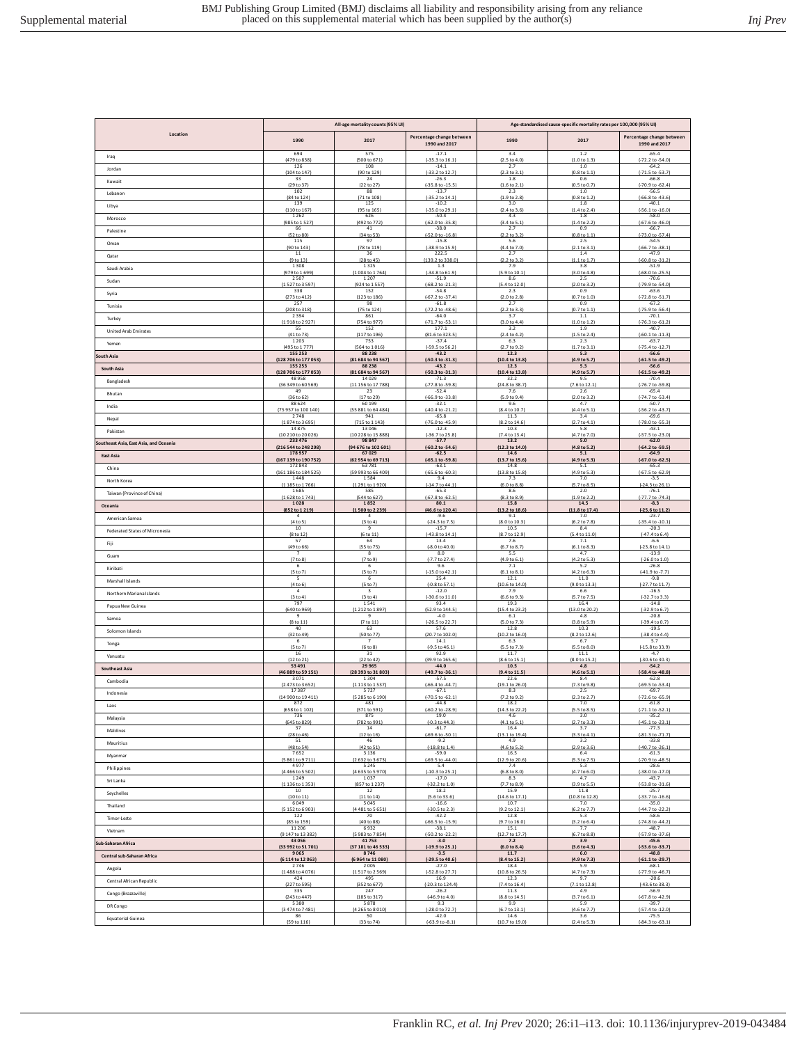|                                        | All-age mortality counts (95% UI) |                                 |                                              | Age-standardised cause-specific mortality rates per 100,000 (95% UI) |                     |                                                   |  |
|----------------------------------------|-----------------------------------|---------------------------------|----------------------------------------------|----------------------------------------------------------------------|---------------------|---------------------------------------------------|--|
| Location                               | 1990                              | 2017                            | Percentage change between<br>1990 and 2017   | 1990                                                                 | 2017                | Percentage change between<br>1990 and 2017        |  |
| Iraq                                   | 694                               | 575                             | $-17.1$                                      | 3.4                                                                  | 1.2                 | $-65.4$                                           |  |
|                                        | (479 to 838)                      | (500 to 671)                    | $(-35.3 \text{ to } 16.1)$                   | (2.5 to 4.0)                                                         | (1.0 to 1.3)        | (-72.2 to -54.0)                                  |  |
| Jordan                                 | 126                               | 108                             | $-14.1$                                      | 2.7                                                                  | 1.0                 | $-64.2$                                           |  |
|                                        | (104 to 147)                      | (90 to 129)                     | (-33.2 to 12.7)                              | (2.3 to 3.1)                                                         | (0.8 to 1.1         | $(-71.5 \text{ to } -53.7)$                       |  |
| Kuwait                                 | 33                                | 24                              | $-26.3$                                      | 1.8                                                                  | 0.6                 | $-66.8$                                           |  |
|                                        | (29 to 37                         | (22 to 27)                      | $(-35.8 to -15.5)$                           | (1.6 to 2.1)                                                         | (0.5 to 0.7)        | (-70.9 to -62.4                                   |  |
| Lebanon                                | 102                               | 88                              | $-13.7$                                      | 2.3                                                                  | 1.0                 | $-56.5$                                           |  |
|                                        | (84 to 124)                       | (71 to 108)                     | $(-35.2 \text{ to } 14.1)$                   | (1.9 to 2.8)                                                         | (0.8 to 1.2)        | $(-66.8 \text{ to } -43.6)$                       |  |
| Libva                                  | 139                               | 125                             | $-10.2$                                      | 3.0                                                                  | 1.8                 | $-40.1$                                           |  |
|                                        | (110 to 167)                      | (95 to 165)                     | $[-35.0 \text{ to } 29.1]$                   | (2.4 to 3.6)                                                         | (1.4 to 2.4         | $(-56.1 to -16.0)$                                |  |
| Morocco                                | 1262                              | 626<br>(492 to 772)             | $-50.4$<br>$(-62.0 to -35.8)$                | 4.3<br>(3.4 to 5.1)                                                  | 1.8<br>(1.4 to 2.2) | $-58.0$                                           |  |
| Palestine                              | (985 to 1527)<br>66               | 41                              | $-38.0$                                      | 2.7                                                                  | 0.9                 | $(-67.6 \text{ to } -46.0)$<br>$-66.7$            |  |
| Oman                                   | (52 to 80)                        | (34 to 53)                      | $(-52.0 to -16.8)$                           | (2.2 to 3.2)                                                         | (0.8 to 1.1)        | (-73.0 to -57.4)                                  |  |
|                                        | 115                               | 97                              | $-15.8$                                      | $5.6$                                                                | 2.5                 | $-54.5$                                           |  |
| Qatar                                  | (90 to 143)<br>11                 | (78 to 119)<br>36<br>(28 to 45) | (-38.9 to 15.9)<br>222.5<br>(139.2 to 338.0) | (4.4 to 7.0)<br>2.7                                                  | (2.1 to 3.1)<br>1.4 | $(-66.7 to -38.1)$<br>$-47.9$<br>(-60.8 to -31.2) |  |
| Saudi Arabia                           | (9 to 13)<br>1308                 | 1325                            | 1.3                                          | (2.2 to 3.2)<br>7.9                                                  | (1.1 to 1.7)<br>3.8 | $-51.9$                                           |  |
| Sudan                                  | (979 to 1699                      | (1004 to 1764)                  | (-34.8 to 61.9)                              | (5.9 to 10.1)                                                        | (3.0 to 4.8         | $(-68.0 to -25.5)$                                |  |
|                                        | 2507                              | 1 2 0 7                         | $-51.9$                                      | 8.6                                                                  | 2.5                 | $-70.6$                                           |  |
| Syria                                  | (1527 to 3597)                    | (924 to 1557)                   | $(-68.2 to -21.3)$                           | (5.4 to 12.0)                                                        | (2.0 to 3.2)        | (-79.9 to -54.0)                                  |  |
|                                        | 338                               | 152                             | $-54.8$                                      | 2.3                                                                  | 0.9                 | $-63.6$                                           |  |
| Tunisia                                | (273 to 412)                      | (123 to 186)                    | (-67.2 to -37.4)                             | (2.0 to 2.8)                                                         | (0.7 to 1.0)        | (-72.8 to -51.7)                                  |  |
|                                        | 257                               | 98                              | $-61.8$                                      | 2.7                                                                  | 0.9                 | $-67.2$                                           |  |
| Turkey                                 | (208 to 318)                      | (75 to 124)                     | $(-72.2 \text{ to } -48.6)$                  | (2.2 to 3.3)                                                         | (0.7 to 1.1)        | $(-75.9 \text{ to } -56.4)$                       |  |
|                                        | 2394                              | 861                             | $-64.0$                                      | 3.7                                                                  | $1.1\,$             | $-70.1$                                           |  |
| United Arab Emirates                   | (1918 to 2927)                    | (754 to 977)                    | $(-71.7 to -53.1)$                           | (3.0 to 4.4)                                                         | (1.0 to 1.2)        | $(-76.3 to -61.2)$                                |  |
|                                        | 55                                | 152                             | 177.1                                        | 3.2                                                                  | 1.9                 | $-40.7$                                           |  |
| Yemen                                  | (41 to 73)                        | (117 to 196)                    | (81.6 to 323.5)                              | (2.4 to 4.2)                                                         | (1.5 to 2.4)        | (-60.1 to -11.3)                                  |  |
|                                        | 1 2 0 3                           | 753                             | $-37.4$                                      | 6.3                                                                  | 2.3                 | $-63.7$                                           |  |
| iouth Asia                             | (495 to 1777)                     | (564 to 1016)                   | (-59.5 to 56.2)                              | (2.7 to 9.2)                                                         | (1.7 to 3.1)        | $(-75.4 \text{ to } -12.7)$                       |  |
|                                        | 155 253                           | 88238                           | $-43.2$                                      | 12.3                                                                 | 5.3                 | $-56.6$                                           |  |
| South Asia                             | (128 706 to 177 053)              | (81 684 to 94 567)              | (-50.3 to -31.3)                             | (10.4 to 13.8)                                                       | (4.9 to 5.7         | (-61.5 to -49.2                                   |  |
|                                        | 155 253                           | 88238                           | $-43.2$                                      | 12.3                                                                 | 5.3                 | $-56.6$                                           |  |
|                                        | (128 706 to 177 053)              | (81 684 to 94 567               | (-50.3 to -31.3)                             | (10.4 to 13.8)                                                       | (4.9 to 5.7)        | (-61.5 to -49.2                                   |  |
|                                        | 48958                             | 14029                           | $-71.3$                                      | 32.2                                                                 | 9.5                 | $-70.4$                                           |  |
| Bangladesh                             | (36 349 to 60 569)                | (11 156 to 17 788)              | (-77.8 to -59.8)                             | (24.8 to 38.7)                                                       | (7.6 to 12.1        | (-76.7 to -59.8)                                  |  |
|                                        | 49                                | 23                              | $-52.4$                                      | 7.6                                                                  | 2.6                 | $-65.4$                                           |  |
| Bhutan                                 | (36 to 62)                        | (17 to 29)                      | $(-66.9 to -33.8)$                           | (5.9 to 9.4)                                                         | (2.0 to 3.2)        | $(-74.7 to -53.4)$                                |  |
|                                        | 88 6 24                           | 60 199                          | $-32.1$                                      | 9.6                                                                  | 4.7                 | $-50.7$                                           |  |
| India                                  | (75 957 to 100 140)               | (55 881 to 64 484)              | $(-40.4 to -21.2)$                           | (8.4 to 10.7)                                                        | (4.4 to 5.1)        | (-56.2 to -43.7)                                  |  |
|                                        | 2748                              | 941                             | $-65.8$                                      | 11.3                                                                 | 3.4                 | $-69.6$                                           |  |
| Nepal                                  | (1874 to 3695                     | (715 to 1 143)                  | $[-76.0 \text{ to } -45.9]$                  | (8.2 to 14.6)                                                        | (2.7 to 4.1         | (-78.0 to -55.3                                   |  |
|                                        | 14875                             | 13046                           | $-12.3$                                      | 10.3                                                                 | 5.8                 | $-43.1$                                           |  |
| Pakistan                               | (10 210 to 20 026)                | (10 228 to 15 888)              | (-36.7 to 25.8)                              | (7.4 to 13.4)                                                        | (4.7 to 7.0)        | $(-57.5 to -23.0)$                                |  |
|                                        | 233 476                           | 98847                           | $-57.7$                                      | 13.2                                                                 | 5.0                 | $-62.0$                                           |  |
| Southeast Asia, East Asia, and Oceania | (216 544 to 248 298)              | (94 676 to 102 601)             | (-60.2 to -54.6)                             | (12.3 to 14.0)                                                       | (4.8 to 5.2         | (-64.2 to -59.5)                                  |  |
|                                        | 178957                            | 67029                           | $-62.5$                                      | 14.6                                                                 | 5.1                 | $-64.9$                                           |  |
| East Asia                              | (167 139 to 190 752)              | (62 954 to 69 713)              | (-65.1 to -59.8)                             | (13.7 to 15.6)                                                       | (4.9 to 5.3)        | (-67.0 to -62.5)                                  |  |
|                                        | 172843                            | 63781                           | $-63.1$                                      | 14.8                                                                 | 5.1                 | $-65.3$                                           |  |
| China                                  | (161 186 to 184 525)<br>1448      | (59 993 to 66 409)<br>1584      | $(-65.6 \text{ to } -60.3)$<br>9.4           | (13.8 to 15.8)                                                       | (4.9 to 5.3)<br>7.0 | (-67.5 to -62.9)<br>$-3.5$                        |  |
| North Korea                            | (1 185 to 1 766)                  | (1 291 to 1 920)                | $(-14.7 to 44.1)$                            | 7.3<br>(6.0 to 8.8)                                                  | (5.7 to 8.5)        | $(-24.3 \text{ to } 26.1)$                        |  |
| Taiwan (Province of China)             | 1685                              | 585                             | $-65.3$                                      | 8.6                                                                  | 2.0                 | $-76.1$                                           |  |
|                                        | (1628 to 1743)                    | (544 to 627)                    | $(-67.8 to -62.5)$                           | (8.3 to 8.9)                                                         | (1.9 to 2.2)        | $(-77.7 to -74.3)$                                |  |
| Oceania                                | 1028                              | 1852                            | 80.1                                         | 15.8                                                                 | 14.5                | $-8.3$                                            |  |
|                                        | (852 to 1219)                     | (1 500 to 2 239)                | (46.6 to 120.4)                              | (13.2 to 18.6)                                                       | (11.8 to 17.4       | (-25.6 to 11.2)                                   |  |
| American Samoa                         | $\ddot{\bf 4}$<br>(4 to 5)        | (3 to 4)                        | $-9.6$<br>$[-24.3 \text{ to } 7.5]$          | 9.1<br>(8.0 to 10.3)                                                 | 7.0<br>(6.2 to 7.8) | $-23.7$<br>(-35.4 to -10.1)                       |  |
| Federated States of Micronesia         | 10                                | 9                               | $-15.7$                                      | 10.5                                                                 | 8.4                 | $-20.3$                                           |  |
|                                        | (8 to 12)                         | (6 to 11)                       | (-43.8 to 14.1)                              | (8.7 to 12.9)                                                        | (5.4 to 11.0)       | (-47.4 to 6.4                                     |  |
| Fiji                                   | 57                                | 64                              | 13.4                                         | 7.6                                                                  | 7.1                 | $-6.6$                                            |  |
|                                        | (49 to 66)                        | (55 to 75)                      | $(-8.0 to 40.0)$                             | (6.7 to 8.7)                                                         | (6.1 to 8.3)        | (-23.8 to 14.1)                                   |  |
| Guam                                   | (7 to 8)                          | 8<br>(7 to 9)                   | 8.0<br>$(-7.7 to 27.4)$                      | 5.5<br>(4.9 to 6.1)                                                  | 4.7<br>(4.2 to 5.3) | $-13.9$<br>$(-26.0 \text{ to } 1.0)$              |  |
| Kiribati                               | 6                                 | 6                               | 9.6                                          | 7.1                                                                  | 5.2                 | $-26.8$                                           |  |
|                                        | (5 to 7)                          | (5 to 7)                        | (-15.0 to 42.1)                              | (6.1 to 8.1)                                                         | (4.2 to 6.3)        | (-41.9 to -7.7                                    |  |
| Marshall Islands                       | -5                                | 6                               | 25.4                                         | 12.1                                                                 | 11.0                | $-9.8$                                            |  |
|                                        | (4 to 6)                          | (5 to 7)                        | $(-0.8 to 57.1)$                             | (10.6 to 14.0)                                                       | (9.0 to 13.3        | $(-27.7 \text{ to } 11.7)$                        |  |
| Northern Mariana Islands               | $\ddot{a}$                        | 3                               | $-12.0$                                      | 7.9                                                                  | 6.6                 | $-16.5$                                           |  |
|                                        | (3 to 4)                          | (3 to 4)                        | $(-30.6 \text{ to } 11.0)$                   | (6.6 to 9.3)                                                         | (5.7 to 7.5)        | (-32.7 to 3.3)                                    |  |
| Papua New Guinea                       | 797                               | 1541                            | 93.4                                         | 19.3                                                                 | 16.4                | $-14.8$                                           |  |
|                                        | (640 to 969)                      | (1 212 to 1 897)                | (52.9 to 144.5)                              | (15.4 to 23.2)                                                       | (13.0 to 20.2)      | $(-32.9 \text{ to } 6.7)$                         |  |
| Samoa                                  | 9                                 | 9                               | $-4.0$                                       | 6.1                                                                  | 4.8                 | $-20.8$                                           |  |
|                                        | (8 to 11)                         | (7 to 11)                       | (-26.5 to 22.7)                              | (5.0 to 7.3)                                                         | (3.8 to 5.9         | $(-39.4 to 0.7)$                                  |  |
| Solomon Islands                        | 40                                | 63                              | 57.6                                         | 12.8                                                                 | 10.3                | $-19.5$                                           |  |
|                                        | (32 to 49)                        | (50 to 77)                      | (20.7 to 102.0)                              | (10.2 to 16.0)                                                       | (8.2 to 12.6)       | (-38.4 to 4.4)                                    |  |
| Tonga                                  | 6                                 | 7                               | 14.1                                         | 6.3                                                                  | 6.7                 | 5.7                                               |  |
|                                        | (5 to 7)                          | (6 to 8)                        | $(-9.5 to 46.1)$                             | (5.5 to 7.3)                                                         | (5.5 to 8.0)        | (-15.8 to 33.9)                                   |  |
| Vanuatu                                | 16                                | 31                              | 92.9                                         | 11.7                                                                 | 11.1                | $-4.7$                                            |  |
|                                        | (12 to 21)                        | (22 to 42)                      | (39.9 to 165.6)                              | (8.6 to 15.1)                                                        | (8.0 to 15.2        | $(-30.6 \text{ to } 30.3)$                        |  |
| <b>Southeast Asia</b>                  | 53 4 9 1                          | 29965                           | $-44.0$                                      | 10.5                                                                 | 4.8                 | $-54.2$                                           |  |
|                                        | (46 889 to 59 151)                | (28 393 to 31 803)              | $(-49.7 to -36.1)$                           | (9.4 to 11.5)                                                        | (4.6 to 5.1)        | (-58.4 to -48.8)                                  |  |
| Cambodia                               | 3071                              | 1304                            | $-57.5$                                      | 22.6                                                                 | 8.4                 | $-62.8$                                           |  |
|                                        | (2473 to 3652)                    | (1 113 to 1 537)                | $(-66.4 \text{ to } -44.7)$                  | (19.1 to 26.0)                                                       | (7.3 to 9.8)        | (-69.5 to -53.4)                                  |  |
| Indonesia                              | 17387                             | 5727                            | $-67.1$                                      | 8.3                                                                  | 2.5                 | $-69.7$                                           |  |
|                                        | (14 900 to 19 411)                | (5 285 to 6 190)                | $(-70.5 \text{ to } -62.1)$                  | $(7.2 \text{ to } 9.2)$                                              | (2.3 to 2.7)        | (-72.6 to -65.9                                   |  |
| Laos                                   | 872                               | 481                             | $-44.8$                                      | 18.2                                                                 | 7.0                 | $-61.8$                                           |  |
|                                        | (658 to 1 102)                    | (371 to 591)                    | $(-60.2 to -28.9)$                           | (14.3 to 22.2)                                                       | (5.5 to 8.5)        | $(-71.1$ to $-52.1)$                              |  |
| Malaysia                               | 736                               | 875                             | 19.0                                         | 4.6                                                                  | 3.0                 | $-35.2$                                           |  |
|                                        | (645 to 829)                      | (782 to 991)                    | $(-0.3 to 44.3)$                             | (4.1 to 5.1)                                                         | (2.7 to 3.3)        | $(-45.1 to -23.1)$                                |  |
| Maldives                               | 37                                | 14                              | $-61.7$                                      | 16.4                                                                 | 3.7                 | $-77.3$                                           |  |
|                                        | (28 to 46)                        | (12 to 16)                      | $(-69.6 \text{ to } -50.1)$                  | (13.1 to 19.4)                                                       | (3.3 to 4.1)        | $(-81.3 to -71.7)$                                |  |
| Mauritius                              | 51                                | 46                              | $-9.2$                                       | 4.9                                                                  | $3.2\,$             | $-33.8$                                           |  |
|                                        | (48 to 54)                        | (42 to 51)                      | $(-18.8 \text{ to } 1.4)$                    | (4.6 to 5.2)                                                         | (2.9 to 3.6)        | $(-40.7 to -26.1)$                                |  |
| Myanmar                                | 7652                              | 3 1 3 6                         | $-59.0$                                      | 16.5                                                                 | 6.4                 | $-61.3$                                           |  |
|                                        | (5861 to 9711)                    | (2632 to 3673)                  | $(-69.5 \text{ to } -44.0)$                  | (12.9 to 20.6)                                                       | (5.3 to 7.5)        | $(-70.9 to -48.5)$                                |  |
| Philippines                            | 4977                              | 5 2 4 5                         | 5.4                                          | 7.4                                                                  | 5.3                 | $-28.6$                                           |  |
| Sri Lanka                              | (4466 to 5502)                    | (4 635 to 5 970)                | $(-10.3 to 25.1)$                            | (6.8 to 8.0)                                                         | (4.7 to 6.0)        | $(-38.0 to -17.0)$                                |  |
|                                        | 1249                              | 1037                            | $-17.0$                                      | 8.3                                                                  | 4.7                 | $-43.7$                                           |  |
| Seychelles                             | (1136 to 1353)                    | (857 to 1 237)                  | $(-32.2 \text{ to } 1.0)$                    | (7.7 to 8.9)                                                         | (3.9 to 5.5)        | $(-53.8$ to $-31.6)$                              |  |
|                                        | 10                                | 12                              | 18.2                                         | 15.9                                                                 | 11.8                | $-25.7$                                           |  |
| Thailand                               | (10 to 11)                        | (11 to 14)                      | (5.6 to 33.6)                                | (14.6 to 17.1)                                                       | (10.8 to 12.8)      | $(-33.7 to -16.6)$                                |  |
|                                        | 6049                              | 5045                            | $-16.6$                                      | 10.7                                                                 | 7.0                 | $-35.0$                                           |  |
| Timor-Leste                            | (5 152 to 6 903)                  | (4 481 to 5 651)                | $(-30.5 to 2.3)$                             | (9.2 to 12.1)                                                        | (6.2 to 7.7)        | (-44.7 to -22.2)                                  |  |
|                                        | 122                               | 70                              | $-42.2$                                      | 12.8                                                                 | 5.3                 | $-58.6$                                           |  |
| Vietnam                                | (85 to 159)                       | (40 to 88)                      | $(-66.5 \text{ to } -15.9)$                  | (9.7 to 16.0)                                                        | (3.2 to 6.4)        | $(-74.8 \text{ to } -44.2)$                       |  |
|                                        | 11 20 6                           | 6932                            | $-38.1$                                      | 15.1                                                                 | 7.7                 | $-48.7$                                           |  |
| Sub-Saharan Africa                     | (9 147 to 13 382)                 | (5 983 to 7 854)                | $(-50.2 to -22.2)$                           | (12.7 to 17.7)                                                       | (6.7 to 8.8)        | (-57.9 to -37.6)                                  |  |
|                                        | 43 056                            | 41753                           | $-3.0$                                       | 7.2                                                                  | 3.9                 | $-45.6$                                           |  |
| Central sub-Saharan Africa             | (33 992 to 51 701)                | (37 181 to 46 533)              | (-19.9 to 25.1)                              | (6.0 to 8.4)                                                         | (3.6 to 4.3)        | (-53.6 to -33.7)                                  |  |
|                                        | 9065                              | 8746                            | $-3.5$                                       | 11.7                                                                 | 6.0                 | $-48.8$                                           |  |
| Angola                                 | (6 114 to 12 063)                 | (6964 to 11080)                 | $(-29.5 \text{ to } 40.6)$                   | (8.4 to 15.2)                                                        | (4.9 to 7.3)        | $(-61.1 to -29.7)$                                |  |
|                                        | 2746                              | 2005                            | $-27.0$                                      | 18.4                                                                 | 5.9                 | $-68.1$                                           |  |
|                                        | (1488 to 4076)                    | (1517 to 2569)                  | (-52.8 to 27.7)                              | (10.8 to 26.5)                                                       | (4.7 to 7.3)        | $(-77.9 to -46.7)$                                |  |
|                                        | 424                               | 495                             | 16.9                                         | 12.3                                                                 | 9.7                 | $-20.6$                                           |  |
| Central African Republic               | (227 to 595)                      | (352 to 677)                    | (-20.3 to 124.4)                             | (7.4 to 16.4)                                                        | (7.1 to 12.8)       | (-43.6 to 38.3)                                   |  |
|                                        | 335                               | 247                             | $-26.2$                                      | 11.3                                                                 | 4.9                 | $-56.9$                                           |  |
| Congo (Brazzaville)                    | (243 to 447)                      | (185 to 317)                    | $(-46.9 to 4.0)$                             | (8.8 to 14.5)                                                        | (3.7 to 6.1)        | $(-67.8$ to $-42.9)$                              |  |
|                                        | 5380                              | 5878                            | 9.3                                          | 9.9                                                                  | 5.9                 | $-39.7$                                           |  |
| DR Congo                               | (3474 to 7481)                    | (4 265 to 8 010)                | $(-28.0 \text{ to } 72.7)$                   | (6.7 to 13.1)                                                        | (4.6 to 7.7)        | $(-57.4 \text{ to } -12.0)$                       |  |
|                                        | 86                                | 50                              | $-42.0$                                      | 14.6                                                                 | 3.6                 | $-75.5$                                           |  |
| <b>Equatorial Guinea</b>               | (59 to 116)                       | (33 to 74)                      | $(-63.9 \text{ to } -8.1)$                   | (10.7 to 19.0)                                                       | (2.4 to 5.3)        | $(-84.3 to -63.1)$                                |  |